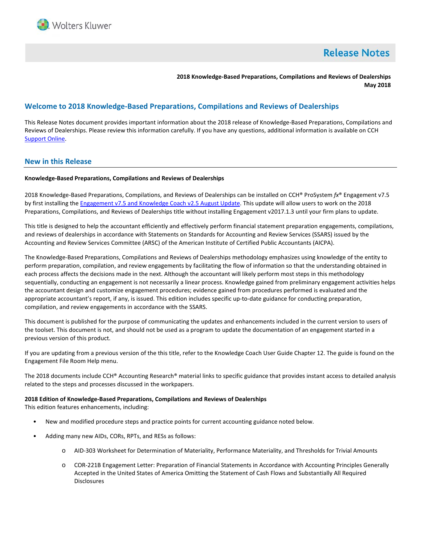

# **Release Notes**

**2018 Knowledge-Based Preparations, Compilations and Reviews of Dealerships May 2018**

# **Welcome to 2018 Knowledge-Based Preparations, Compilations and Reviews of Dealerships**

This Release Notes document provides important information about the 2018 release of Knowledge-Based Preparations, Compilations and Reviews of Dealerships. Please review this information carefully. If you have any questions, additional information is available on CCH [Support Online.](http://support.cch.com/productsupport/)

## **New in this Release**

### **Knowledge-Based Preparations, Compilations and Reviews of Dealerships**

2018 Knowledge-Based Preparations, Compilations, and Reviews of Dealerships can be installed on CCH® ProSystem *fx*® Engagement v7.5 by first installing th[e Engagement v7.5 and](https://support.cch.com/updates/Engagement/patch75/patch75.aspx) Knowledge Coach v2.5 August Update. This update will allow users to work on the 2018 Preparations, Compilations, and Reviews of Dealerships title without installing Engagement v2017.1.3 until your firm plans to update.

This title is designed to help the accountant efficiently and effectively perform financial statement preparation engagements, compilations, and reviews of dealerships in accordance with Statements on Standards for Accounting and Review Services (SSARS) issued by the Accounting and Review Services Committee (ARSC) of the American Institute of Certified Public Accountants (AICPA).

The Knowledge-Based Preparations, Compilations and Reviews of Dealerships methodology emphasizes using knowledge of the entity to perform preparation, compilation, and review engagements by facilitating the flow of information so that the understanding obtained in each process affects the decisions made in the next. Although the accountant will likely perform most steps in this methodology sequentially, conducting an engagement is not necessarily a linear process. Knowledge gained from preliminary engagement activities helps the accountant design and customize engagement procedures; evidence gained from procedures performed is evaluated and the appropriate accountant's report, if any, is issued. This edition includes specific up-to-date guidance for conducting preparation, compilation, and review engagements in accordance with the SSARS.

This document is published for the purpose of communicating the updates and enhancements included in the current version to users of the toolset. This document is not, and should not be used as a program to update the documentation of an engagement started in a previous version of this product.

If you are updating from a previous version of the this title, refer to the Knowledge Coach User Guide Chapter 12. The guide is found on the Engagement File Room Help menu.

The 2018 documents include CCH® Accounting Research® material links to specific guidance that provides instant access to detailed analysis related to the steps and processes discussed in the workpapers.

### **2018 Edition of Knowledge-Based Preparations, Compilations and Reviews of Dealerships**

This edition features enhancements, including:

- New and modified procedure steps and practice points for current accounting guidance noted below.
- Adding many new AIDs, CORs, RPTs, and RESs as follows:
	- o AID-303 Worksheet for Determination of Materiality, Performance Materiality, and Thresholds for Trivial Amounts
	- o COR-221B Engagement Letter: Preparation of Financial Statements in Accordance with Accounting Principles Generally Accepted in the United States of America Omitting the Statement of Cash Flows and Substantially All Required **Disclosures**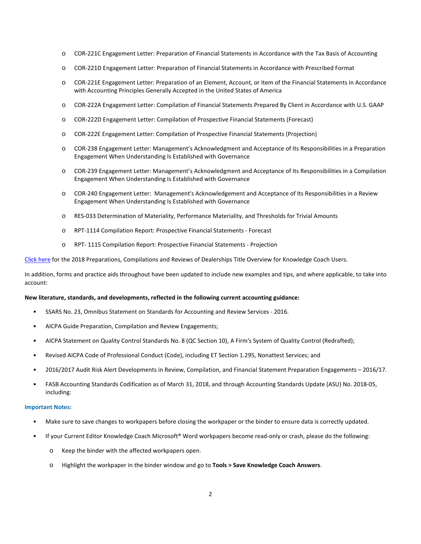- o COR-221C Engagement Letter: Preparation of Financial Statements in Accordance with the Tax Basis of Accounting
- o COR-221D Engagement Letter: Preparation of Financial Statements in Accordance with Prescribed Format
- o COR-221E Engagement Letter: Preparation of an Element, Account, or Item of the Financial Statements in Accordance with Accounting Principles Generally Accepted in the United States of America
- o COR-222A Engagement Letter: Compilation of Financial Statements Prepared By Client in Accordance with U.S. GAAP
- o COR-222D Engagement Letter: Compilation of Prospective Financial Statements (Forecast)
- o COR-222E Engagement Letter: Compilation of Prospective Financial Statements (Projection)
- o COR-238 Engagement Letter: Management's Acknowledgment and Acceptance of Its Responsibilities in a Preparation Engagement When Understanding Is Established with Governance
- o COR-239 Engagement Letter: Management's Acknowledgment and Acceptance of Its Responsibilities in a Compilation Engagement When Understanding Is Established with Governance
- o COR-240 Engagement Letter: Management's Acknowledgement and Acceptance of Its Responsibilities in a Review Engagement When Understanding Is Established with Governance
- o RES-033 Determination of Materiality, Performance Materiality, and Thresholds for Trivial Amounts
- o RPT-1114 Compilation Report: Prospective Financial Statements Forecast
- o RPT- 1115 Compilation Report: Prospective Financial Statements Projection

[Click here](http://support.cch.com/updates/KnowledgeCoach/pdf/guides_tab/2018%20DLR%20PCR%20Title%20Overview%20for%20Knowledge%20Coach%20Users.pdf) for the 2018 Preparations, Compilations and Reviews of Dealerships Title Overview for Knowledge Coach Users.

In addition, forms and practice aids throughout have been updated to include new examples and tips, and where applicable, to take into account:

### **New literature, standards, and developments, reflected in the following current accounting guidance:**

- SSARS No. 23, Omnibus Statement on Standards for Accounting and Review Services 2016.
- AICPA Guide Preparation, Compilation and Review Engagements;
- AICPA Statement on Quality Control Standards No. 8 (QC Section 10), A Firm's System of Quality Control (Redrafted);
- Revised AICPA Code of Professional Conduct (Code), including ET Section 1.295, Nonattest Services; and
- 2016/2017 Audit Risk Alert Developments in Review, Compilation, and Financial Statement Preparation Engagements 2016/17.
- FASB Accounting Standards Codification as of March 31, 2018, and through Accounting Standards Update (ASU) No. 2018-05, including:

### **Important Notes:**

- Make sure to save changes to workpapers before closing the workpaper or the binder to ensure data is correctly updated.
- If your Current Editor Knowledge Coach Microsoft® Word workpapers become read-only or crash, please do the following:
	- o Keep the binder with the affected workpapers open.
	- o Highlight the workpaper in the binder window and go to **Tools > Save Knowledge Coach Answers**.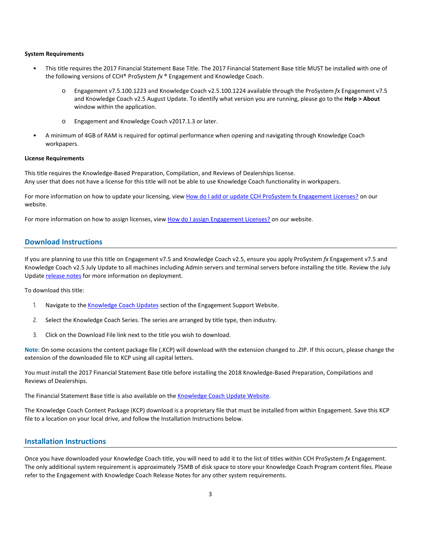#### **System Requirements**

- This title requires the 2017 Financial Statement Base Title. The 2017 Financial Statement Base title MUST be installed with one of the following versions of CCH® ProSystem *fx* ® Engagement and Knowledge Coach.
	- o Engagement v7.5.100.1223 and Knowledge Coach v2.5.100.1224 available through the ProSystem *fx* Engagement v7.5 and Knowledge Coach v2.5 August Update. To identify what version you are running, please go to the **Help > About** window within the application.
	- o Engagement and Knowledge Coach v2017.1.3 or later.
- A minimum of 4GB of RAM is required for optimal performance when opening and navigating through Knowledge Coach workpapers.

#### **License Requirements**

This title requires the Knowledge-Based Preparation, Compilation, and Reviews of Dealerships license. Any user that does not have a license for this title will not be able to use Knowledge Coach functionality in workpapers.

For more information on how to update your licensing, vie[w How do I add or update CCH ProSystem fx Engagement Licenses?](https://support.cch.com/kb/solution.aspx/sw3937) on our website.

For more information on how to assign licenses, view [How do I assign Engagement Licenses?](https://support.cch.com/kb/solution.aspx/sw3943) on our website.

### **Download Instructions**

If you are planning to use this title on Engagement v7.5 and Knowledge Coach v2.5, ensure you apply ProSystem *fx* Engagement v7.5 and Knowledge Coach v2.5 July Update to all machines including Admin servers and terminal servers before installing the title. Review the July Update [release notes](https://support.cch.com/updates/Engagement/patch75/Engagement%20and%20KC%20July%202017%20Update%20Release%20Notes.pdf) for more information on deployment.

To download this title:

- 1. Navigate to the [Knowledge Coach Updates](http://support.cch.com/updates/KnowledgeCoach) section of the Engagement Support Website.
- 2. Select the Knowledge Coach Series. The series are arranged by title type, then industry.
- 3. Click on the Download File link next to the title you wish to download.

**Note**: On some occasions the content package file (.KCP) will download with the extension changed to .ZIP. If this occurs, please change the extension of the downloaded file to KCP using all capital letters.

You must install the 2017 Financial Statement Base title before installing the 2018 Knowledge-Based Preparation, Compilations and Reviews of Dealerships.

The Financial Statement Base title is also available on th[e Knowledge Coach Update Website.](http://support.cch.com/updates/KnowledgeCoach)

The Knowledge Coach Content Package (KCP) download is a proprietary file that must be installed from within Engagement. Save this KCP file to a location on your local drive, and follow the Installation Instructions below.

# **Installation Instructions**

Once you have downloaded your Knowledge Coach title, you will need to add it to the list of titles within CCH ProSystem *fx* Engagement. The only additional system requirement is approximately 75MB of disk space to store your Knowledge Coach Program content files. Please refer to the Engagement with Knowledge Coach Release Notes for any other system requirements.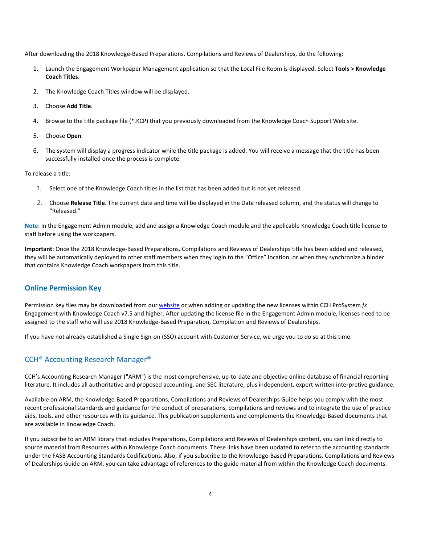After downloading the 2018 Knowledge-Based Preparations, Compilations and Reviews of Dealerships, do the following:

- 1. Launch the Engagement Workpaper Management application so that the Local File Room is displayed. Select **Tools > Knowledge Coach Titles**.
- 2. The Knowledge Coach Titles window will be displayed.
- 3. Choose **Add Title**.
- 4. Browse to the title package file (\*.KCP) that you previously downloaded from the Knowledge Coach Support Web site.
- 5. Choose **Open**.
- 6. The system will display a progress indicator while the title package is added. You will receive a message that the title has been successfully installed once the process is complete.

To release a title:

- 1. Select one of the Knowledge Coach titles in the list that has been added but is not yet released.
- 2. Choose **Release Title**. The current date and time will be displayed in the Date released column, and the status will change to "Released."

**Note**: In the Engagement Admin module, add and assign a Knowledge Coach module and the applicable Knowledge Coach title license to staff before using the workpapers.

**Important**: Once the 2018 Knowledge-Based Preparations, Compilations and Reviews of Dealerships title has been added and released, they will be automatically deployed to other staff members when they login to the "Office" location, or when they synchronize a binder that contains Knowledge Coach workpapers from this title.

### **Online Permission Key**

Permission key files may be downloaded from ou[r website](https://prosystemfxsupport.tax.cchgroup.com/permkey/download.aspx) or when adding or updating the new licenses within CCH ProSystem *fx* Engagement with Knowledge Coach v7.5 and higher. After updating the license file in the Engagement Admin module, licenses need to be assigned to the staff who will use 2018 Knowledge-Based Preparation, Compilation and Reviews of Dealerships.

If you have not already established a Single Sign-on (SSO) account with Customer Service, we urge you to do so at this time.

# CCH® Accounting Research Manager®

CCH's Accounting Research Manager ("ARM") is the most comprehensive, up-to-date and objective online database of financial reporting literature. It includes all authoritative and proposed accounting, and SEC literature, plus independent, expert-written interpretive guidance.

Available on ARM, the Knowledge-Based Preparations, Compilations and Reviews of Dealerships Guide helps you comply with the most recent professional standards and guidance for the conduct of preparations, compilations and reviews and to integrate the use of practice aids, tools, and other resources with its guidance. This publication supplements and complements the Knowledge-Based documents that are available in Knowledge Coach.

If you subscribe to an ARM library that includes Preparations, Compilations and Reviews of Dealerships content, you can link directly to source material from Resources within Knowledge Coach documents. These links have been updated to refer to the accounting standards under the FASB Accounting Standards Codifications. Also, if you subscribe to the Knowledge-Based Preparations, Compilations and Reviews of Dealerships Guide on ARM, you can take advantage of references to the guide material from within the Knowledge Coach documents.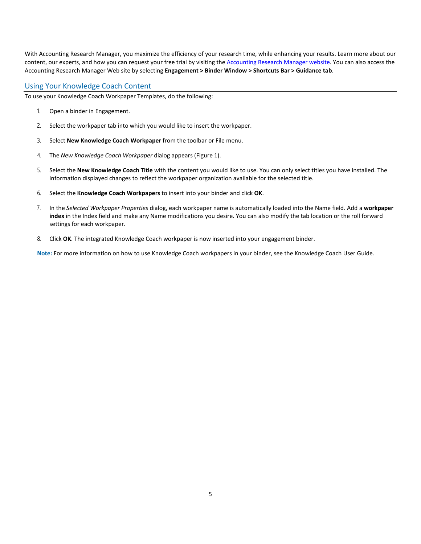With Accounting Research Manager, you maximize the efficiency of your research time, while enhancing your results. Learn more about our content, our experts, and how you can request your free trial by visiting the [Accounting Research Manager website.](http://www.accountingresearchmanager.com/) You can also access the Accounting Research Manager Web site by selecting **Engagement > Binder Window > Shortcuts Bar > Guidance tab**.

# Using Your Knowledge Coach Content

To use your Knowledge Coach Workpaper Templates, do the following:

- 1. Open a binder in Engagement.
- 2. Select the workpaper tab into which you would like to insert the workpaper.
- 3. Select **New Knowledge Coach Workpaper** from the toolbar or File menu.
- 4. The *New Knowledge Coach Workpaper* dialog appears (Figure 1).
- 5. Select the **New Knowledge Coach Title** with the content you would like to use. You can only select titles you have installed. The information displayed changes to reflect the workpaper organization available for the selected title.
- 6. Select the **Knowledge Coach Workpapers** to insert into your binder and click **OK**.
- 7. In the *Selected Workpaper Properties* dialog, each workpaper name is automatically loaded into the Name field. Add a **workpaper index** in the Index field and make any Name modifications you desire. You can also modify the tab location or the roll forward settings for each workpaper.
- 8. Click **OK**. The integrated Knowledge Coach workpaper is now inserted into your engagement binder.

**Note:** For more information on how to use Knowledge Coach workpapers in your binder, see the Knowledge Coach User Guide.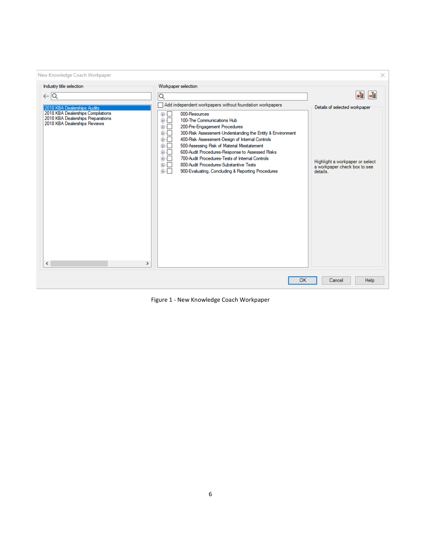| New Knowledge Coach Workpaper                                                                                                                                                                        |                                                                                                                                                                                                                                                                                                                                                                                                                                                                                                                                                                                                                             | ×                                                                                                                        |
|------------------------------------------------------------------------------------------------------------------------------------------------------------------------------------------------------|-----------------------------------------------------------------------------------------------------------------------------------------------------------------------------------------------------------------------------------------------------------------------------------------------------------------------------------------------------------------------------------------------------------------------------------------------------------------------------------------------------------------------------------------------------------------------------------------------------------------------------|--------------------------------------------------------------------------------------------------------------------------|
| Industry title selection<br>$\leftarrow \boxed{\mathsf{Q}}$<br>2018 KBA Dealerships Audits<br>2018 KBA Dealerships Compilations<br>2018 KBA Dealerships Preparations<br>2018 KBA Dealerships Reviews | Workpaper selection<br>$\overline{\mathsf{Q}}$<br>Add independent workpapers without foundation workpapers<br>田市<br>000-Resources<br>100-The Communications Hub<br>面板<br>面目<br>200-Pre-Engagement Procedures<br>面板<br>300-Risk Assessment-Understanding the Entity & Environment<br>面一<br>400-Risk Assessment-Design of Internal Controls<br>面口<br>500-Assessing Risk of Material Misstatement<br>面目<br>600-Audit Procedures-Response to Assessed Risks<br>700-Audit Procedures-Tests of Internal Controls<br>面板<br>画「<br>800-Audit Procedures-Substantive Tests<br>面石<br>900-Evaluating, Concluding & Reporting Procedures | -립<br>٠ŧ<br>Details of selected workpaper<br>Highlight a workpaper or select<br>a workpaper check box to see<br>details. |
| $\overline{\phantom{a}}$<br>$\rightarrow$                                                                                                                                                            | OK                                                                                                                                                                                                                                                                                                                                                                                                                                                                                                                                                                                                                          | <b>Help</b><br>Cancel                                                                                                    |

Figure 1 - New Knowledge Coach Workpaper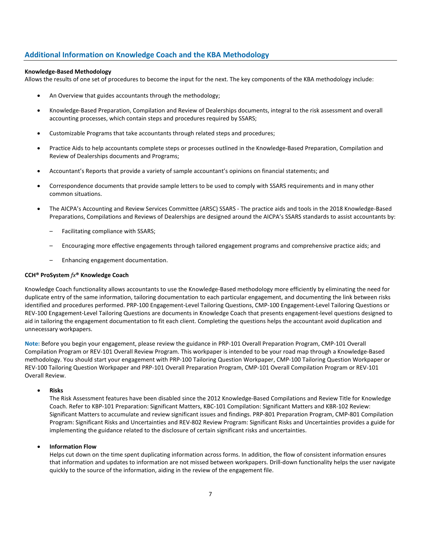# **Additional Information on Knowledge Coach and the KBA Methodology**

### **Knowledge-Based Methodology**

Allows the results of one set of procedures to become the input for the next. The key components of the KBA methodology include:

- An Overview that guides accountants through the methodology;
- Knowledge-Based Preparation, Compilation and Review of Dealerships documents, integral to the risk assessment and overall accounting processes, which contain steps and procedures required by SSARS;
- Customizable Programs that take accountants through related steps and procedures;
- Practice Aids to help accountants complete steps or processes outlined in the Knowledge-Based Preparation, Compilation and Review of Dealerships documents and Programs;
- Accountant's Reports that provide a variety of sample accountant's opinions on financial statements; and
- Correspondence documents that provide sample letters to be used to comply with SSARS requirements and in many other common situations.
- The AICPA's Accounting and Review Services Committee (ARSC) SSARS The practice aids and tools in the 2018 Knowledge-Based Preparations, Compilations and Reviews of Dealerships are designed around the AICPA's SSARS standards to assist accountants by:
	- Facilitating compliance with SSARS;
	- Encouraging more effective engagements through tailored engagement programs and comprehensive practice aids; and
	- Enhancing engagement documentation.

### **CCH® ProSystem** *fx***® Knowledge Coach**

Knowledge Coach functionality allows accountants to use the Knowledge-Based methodology more efficiently by eliminating the need for duplicate entry of the same information, tailoring documentation to each particular engagement, and documenting the link between risks identified and procedures performed. PRP-100 Engagement-Level Tailoring Questions, CMP-100 Engagement-Level Tailoring Questions or REV-100 Engagement-Level Tailoring Questions are documents in Knowledge Coach that presents engagement-level questions designed to aid in tailoring the engagement documentation to fit each client. Completing the questions helps the accountant avoid duplication and unnecessary workpapers.

**Note:** Before you begin your engagement, please review the guidance in PRP-101 Overall Preparation Program, CMP-101 Overall Compilation Program or REV-101 Overall Review Program. This workpaper is intended to be your road map through a Knowledge-Based methodology. You should start your engagement with PRP-100 Tailoring Question Workpaper, CMP-100 Tailoring Question Workpaper or REV-100 Tailoring Question Workpaper and PRP-101 Overall Preparation Program, CMP-101 Overall Compilation Program or REV-101 Overall Review.

#### • **Risks**

The Risk Assessment features have been disabled since the 2012 Knowledge-Based Compilations and Review Title for Knowledge Coach. Refer to KBP-101 Preparation: Significant Matters, KBC-101 Compilation: Significant Matters and KBR-102 Review: Significant Matters to accumulate and review significant issues and findings. PRP-801 Preparation Program, CMP-801 Compilation Program: Significant Risks and Uncertainties and REV-802 Review Program: Significant Risks and Uncertainties provides a guide for implementing the guidance related to the disclosure of certain significant risks and uncertainties.

### • **Information Flow**

Helps cut down on the time spent duplicating information across forms. In addition, the flow of consistent information ensures that information and updates to information are not missed between workpapers. Drill-down functionality helps the user navigate quickly to the source of the information, aiding in the review of the engagement file.